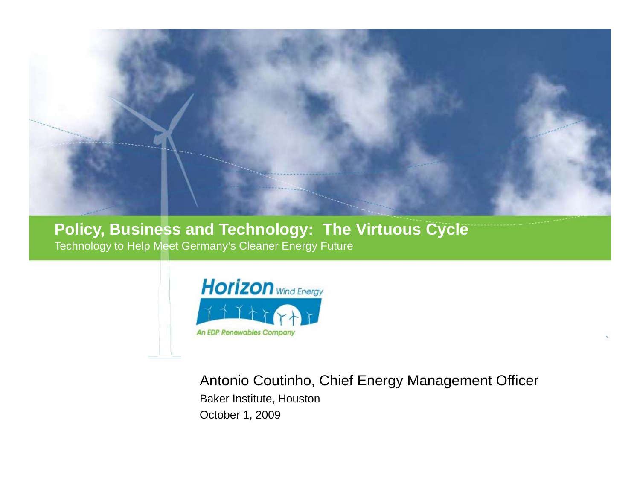

**Policy, Business and Technology: The Virtuous Cycle** Technology to Help Meet Germany's Cleaner Energy Future



Antonio Coutinho, Chief Energy Management Officer Baker Institute, Houston October 1, 2009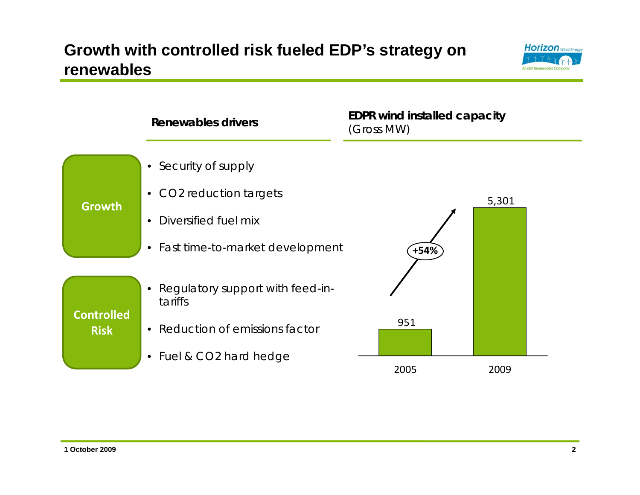### **Growth with controlled risk fueled EDP's strategy on renewables**



|                                  | Renewables drivers                          | <b>EDPR wind installed capacity</b><br>(Gross MW) |       |
|----------------------------------|---------------------------------------------|---------------------------------------------------|-------|
| <b>Growth</b>                    | • Security of supply                        |                                                   |       |
|                                  | • CO2 reduction targets                     |                                                   | 5,301 |
|                                  | Diversified fuel mix<br>$\bullet$           |                                                   |       |
|                                  | • Fast time-to-market development           | +54%                                              |       |
| <b>Controlled</b><br><b>Risk</b> | Regulatory support with feed-in-<br>tariffs |                                                   |       |
|                                  | • Reduction of emissions factor             | 951                                               |       |
|                                  | • Fuel & CO2 hard hedge                     |                                                   |       |
|                                  |                                             | 2005                                              | 2009  |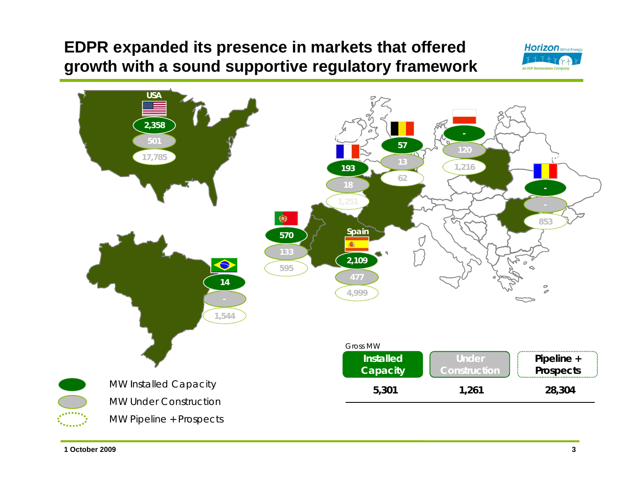## **EDPR expanded its presence in markets that offered growth with a sound supportive regulatory framework**





**1 October 2009**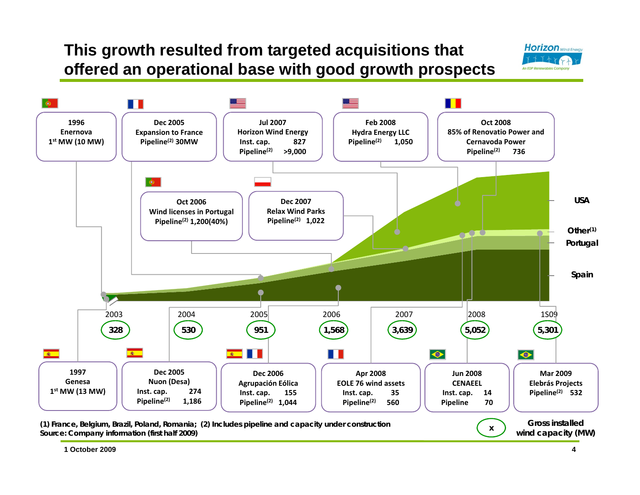## **This growth resulted from targeted acquisitions that offered an operational base with good growth prospects**





**1 October 2009**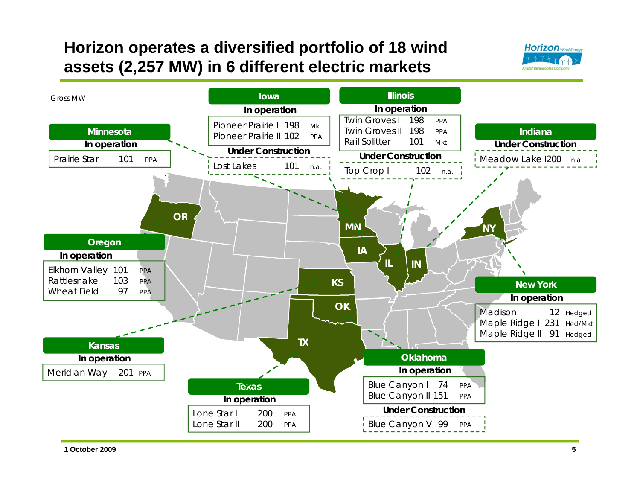## **Horizon operates a diversified portfolio of 18 wind assets (2,257 MW) in 6 different electric markets**



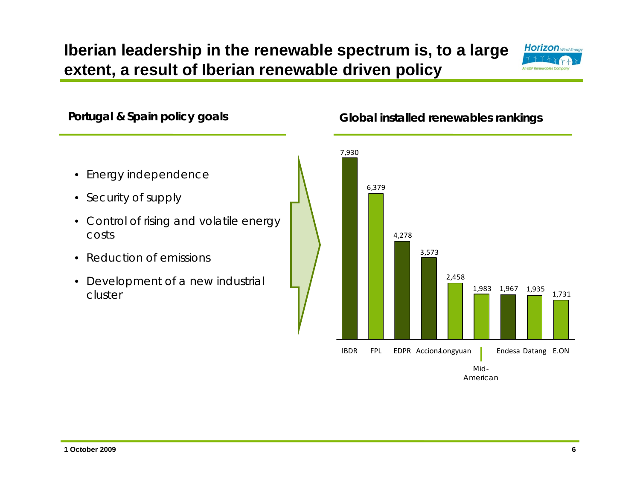## **Iberian leadership in the renewable spectrum is, to a large extent, a result of Iberian renewable driven policy**





**1 October 20096**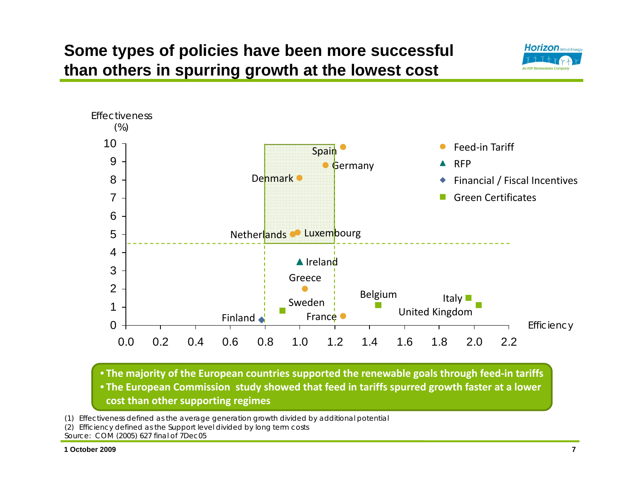## **Some types of policies have been more successful than others in spurring growth at the lowest cost**





• **The European Commission study showed that feed in tariffs spurred growth faster at a lower cost than other supporting regimes**

(1) Effectiveness defined as the average generation growth divided by additional potential

(2) Efficiency defined as the Support level divided by long term costs

Source: COM (2005) 627 final of 7Dec05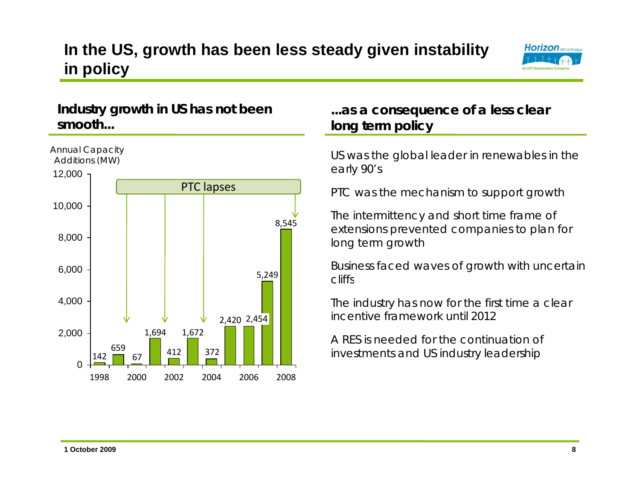## **In the US, growth has been less steady given instability in policy**



#### **Industry growth in US has not been smooth...**



#### **...as a consequence of a less clear long term policy**

early 90's

PTC was the mechanism to support growth

The intermittency and short time frame of extensions prevented companies to plan for long term growth

Business faced waves of growth with uncertain cliffs

The industry has now for the first time a clear incentive framework until 2012

A RES is needed for the continuation of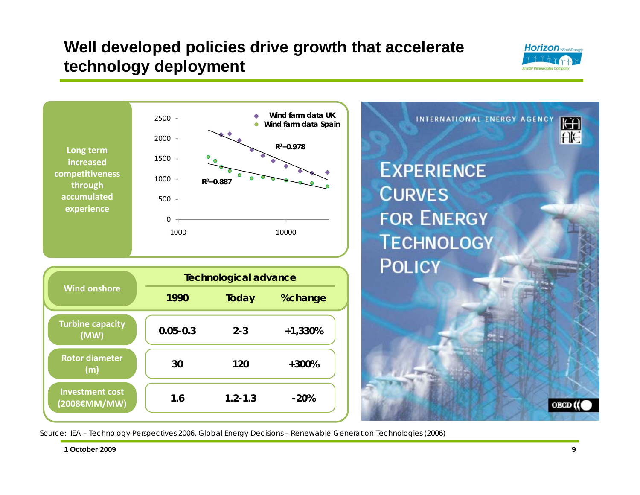## **Well developed policies drive growth that accelerate technology deployment**





Source: IEA – Technology Perspectives 2006, Global Energy Decisions – Renewable Generation Technologies (2006)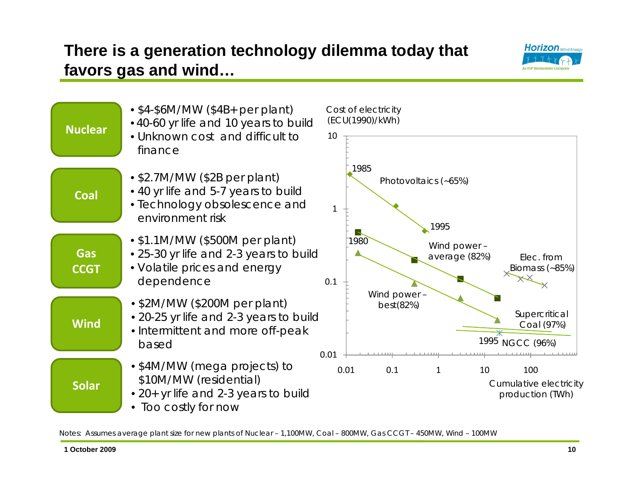# **Horizon** Wind Energ

## **There is a generation technology dilemma today that favors gas and wind…**



Notes: Assumes average plant size for new plants of Nuclear – 1,100MW, Coal – 800MW, Gas CCGT – 450MW, Wind – 100MW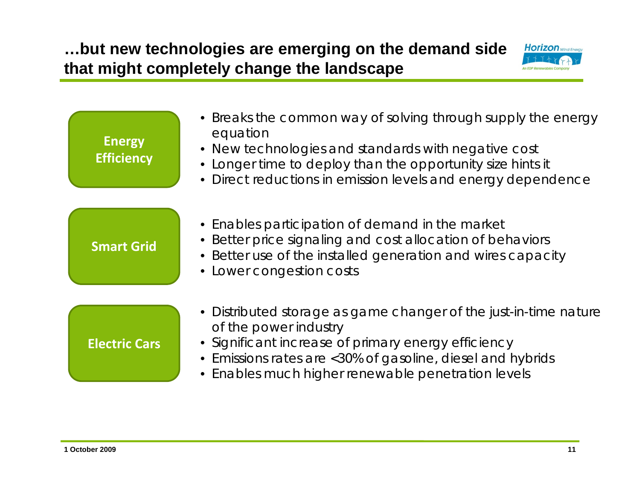## **…but new technologies are emerging on the demand side that might completely change the landscape**



| <b>Energy</b><br><b>Efficiency</b> | • Breaks the common way of solving through supply the energy<br>equation<br>• New technologies and standards with negative cost<br>• Longer time to deploy than the opportunity size hints it<br>• Direct reductions in emission levels and energy dependence        |
|------------------------------------|----------------------------------------------------------------------------------------------------------------------------------------------------------------------------------------------------------------------------------------------------------------------|
| <b>Smart Grid</b>                  | • Enables participation of demand in the market<br>• Better price signaling and cost allocation of behaviors<br>• Better use of the installed generation and wires capacity<br>• Lower congestion costs                                                              |
| <b>Electric Cars</b>               | • Distributed storage as game changer of the just-in-time nature<br>of the power industry<br>· Significant increase of primary energy efficiency<br>• Emissions rates are <30% of gasoline, diesel and hybrids<br>• Enables much higher renewable penetration levels |